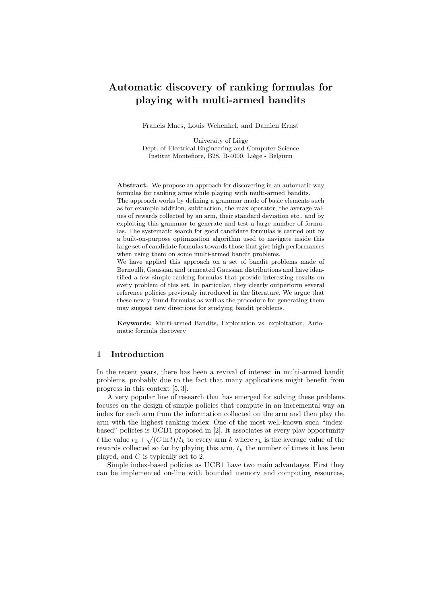# Automatic discovery of ranking formulas for playing with multi-armed bandits

Francis Maes, Louis Wehenkel, and Damien Ernst

University of Liège Dept. of Electrical Engineering and Computer Science Institut Montefiore, B28, B-4000, Liège - Belgium

Abstract. We propose an approach for discovering in an automatic way formulas for ranking arms while playing with multi-armed bandits. The approach works by defining a grammar made of basic elements such as for example addition, subtraction, the max operator, the average values of rewards collected by an arm, their standard deviation etc., and by exploiting this grammar to generate and test a large number of formulas. The systematic search for good candidate formulas is carried out by a built-on-purpose optimization algorithm used to navigate inside this large set of candidate formulas towards those that give high performances when using them on some multi-armed bandit problems.

We have applied this approach on a set of bandit problems made of Bernoulli, Gaussian and truncated Gaussian distributions and have identified a few simple ranking formulas that provide interesting results on every problem of this set. In particular, they clearly outperform several reference policies previously introduced in the literature. We argue that these newly found formulas as well as the procedure for generating them may suggest new directions for studying bandit problems.

Keywords: Multi-armed Bandits, Exploration vs. exploitation, Automatic formula discovery

## 1 Introduction

In the recent years, there has been a revival of interest in multi-armed bandit problems, probably due to the fact that many applications might benefit from progress in this context [5, 3].

A very popular line of research that has emerged for solving these problems focuses on the design of simple policies that compute in an incremental way an index for each arm from the information collected on the arm and then play the arm with the highest ranking index. One of the most well-known such "indexbased" policies is UCB1 proposed in [2]. It associates at every play opportunity t the value  $\bar{r}_k + \sqrt{(C \ln t)/t_k}$  to every arm k where  $\bar{r}_k$  is the average value of the rewards collected so far by playing this arm,  $t_k$  the number of times it has been played, and C is typically set to 2.

Simple index-based policies as UCB1 have two main advantages. First they can be implemented on-line with bounded memory and computing resources,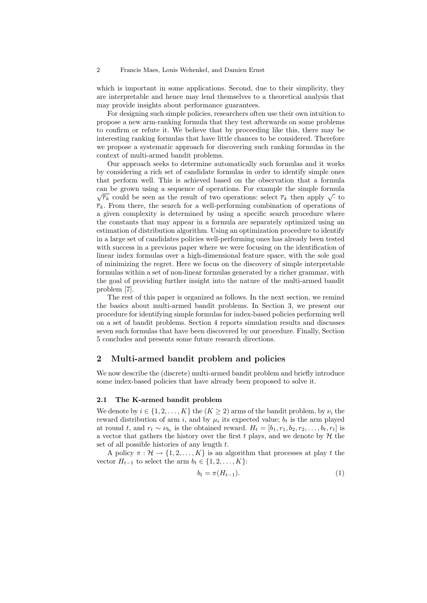#### 2 Francis Maes, Louis Wehenkel, and Damien Ernst

which is important in some applications. Second, due to their simplicity, they are interpretable and hence may lend themselves to a theoretical analysis that may provide insights about performance guarantees.

For designing such simple policies, researchers often use their own intuition to propose a new arm-ranking formula that they test afterwards on some problems to confirm or refute it. We believe that by proceeding like this, there may be interesting ranking formulas that have little chances to be considered. Therefore we propose a systematic approach for discovering such ranking formulas in the context of multi-armed bandit problems.

Our approach seeks to determine automatically such formulas and it works by considering a rich set of candidate formulas in order to identify simple ones that perform well. This is achieved based on the observation that a formula can be grown using a sequence of operations. For example the simple formula in be grown using a sequence of operations. For example the simple formula  $\overline{r}_k$  could be seen as the result of two operations: select  $\overline{r}_k$  then apply  $\sqrt{\cdot}$  to  $\bar{r}_k$ . From there, the search for a well-performing combination of operations of a given complexity is determined by using a specific search procedure where the constants that may appear in a formula are separately optimized using an estimation of distribution algorithm. Using an optimization procedure to identify in a large set of candidates policies well-performing ones has already been tested with success in a previous paper where we were focusing on the identification of linear index formulas over a high-dimensional feature space, with the sole goal of minimizing the regret. Here we focus on the discovery of simple interpretable formulas within a set of non-linear formulas generated by a richer grammar, with the goal of providing further insight into the nature of the multi-armed bandit problem [7].

The rest of this paper is organized as follows. In the next section, we remind the basics about multi-armed bandit problems. In Section 3, we present our procedure for identifying simple formulas for index-based policies performing well on a set of bandit problems. Section 4 reports simulation results and discusses seven such formulas that have been discovered by our procedure. Finally, Section 5 concludes and presents some future research directions.

## 2 Multi-armed bandit problem and policies

We now describe the (discrete) multi-armed bandit problem and briefly introduce some index-based policies that have already been proposed to solve it.

#### 2.1 The K-armed bandit problem

We denote by  $i \in \{1, 2, ..., K\}$  the  $(K \geq 2)$  arms of the bandit problem, by  $\nu_i$  the reward distribution of arm i, and by  $\mu_i$  its expected value;  $b_t$  is the arm played at round t, and  $r_t \sim \nu_{b_t}$  is the obtained reward.  $H_t = [b_1, r_1, b_2, r_2, \ldots, b_t, r_t]$  is a vector that gathers the history over the first  $t$  plays, and we denote by  $H$  the set of all possible histories of any length  $t$ .

A policy  $\pi : \mathcal{H} \to \{1, 2, ..., K\}$  is an algorithm that processes at play t the vector  $H_{t-1}$  to select the arm  $b_t \in \{1, 2, \ldots, K\}$ :

$$
b_t = \pi(H_{t-1}).\tag{1}
$$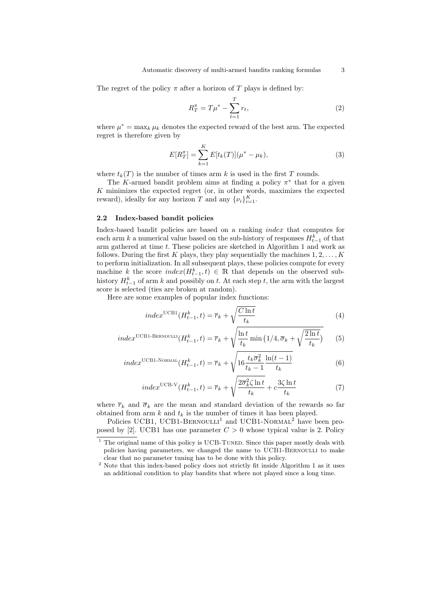The regret of the policy  $\pi$  after a horizon of T plays is defined by:

$$
R_T^{\pi} = T\mu^* - \sum_{t=1}^T r_t,
$$
\n(2)

where  $\mu^* = \max_k \mu_k$  denotes the expected reward of the best arm. The expected regret is therefore given by

$$
E[R_T^{\pi}] = \sum_{k=1}^{K} E[t_k(T)](\mu^* - \mu_k),
$$
\n(3)

where  $t_k(T)$  is the number of times arm k is used in the first T rounds.

The K-armed bandit problem aims at finding a policy  $\pi^*$  that for a given K minimizes the expected regret (or, in other words, maximizes the expected reward), ideally for any horizon T and any  $\{\nu_i\}_{i=1}^K$ .

#### 2.2 Index-based bandit policies

Index-based bandit policies are based on a ranking index that computes for each arm k a numerical value based on the sub-history of responses  $H_{t-1}^k$  of that arm gathered at time t. These policies are sketched in Algorithm 1 and work as follows. During the first K plays, they play sequentially the machines  $1, 2, \ldots, K$ to perform initialization. In all subsequent plays, these policies compute for every machine k the score  $index(H_{t-1}^k, t) \in \mathbb{R}$  that depends on the observed subhistory  $H_{t-1}^k$  of arm k and possibly on t. At each step t, the arm with the largest score is selected (ties are broken at random).

Here are some examples of popular index functions:

$$
index^{\text{UCB1}}(H_{t-1}^k, t) = \overline{r}_k + \sqrt{\frac{C\ln t}{t_k}} \tag{4}
$$

$$
index^{\text{UCBI-BERNOULI}}(H_{t-1}^k, t) = \overline{r}_k + \sqrt{\frac{\ln t}{t_k} \min\left(1/4, \overline{\sigma}_k + \sqrt{\frac{2\ln t}{t_k}}\right)}
$$
(5)

$$
index^{\text{UCBI-NORMAL}}(H_{t-1}^k, t) = \overline{r}_k + \sqrt{16 \frac{t_k \overline{\sigma}_k^2}{t_k - 1} \frac{\ln(t-1)}{t_k}}
$$
(6)

$$
index^{UCB-V}(H_{t-1}^k, t) = \overline{r}_k + \sqrt{\frac{2\overline{\sigma}_k^2 \zeta \ln t}{t_k}} + c \frac{3\zeta \ln t}{t_k}
$$
 (7)

where  $\bar{r}_k$  and  $\bar{\sigma}_k$  are the mean and standard deviation of the rewards so far obtained from arm  $k$  and  $t_k$  is the number of times it has been played.

Policies UCB1, UCB1-BERNOULLI<sup>1</sup> and UCB1-NORMAL<sup>2</sup> have been proposed by [2]. UCB1 has one parameter  $C > 0$  whose typical value is 2. Policy

 $1$  The original name of this policy is UCB-TUNED. Since this paper mostly deals with policies having parameters, we changed the name to UCB1-Bernoulli to make clear that no parameter tuning has to be done with this policy.

<sup>&</sup>lt;sup>2</sup> Note that this index-based policy does not strictly fit inside Algorithm 1 as it uses an additional condition to play bandits that where not played since a long time.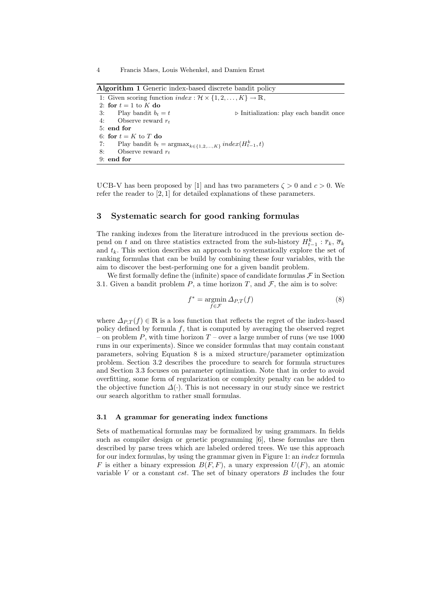Algorithm 1 Generic index-based discrete bandit policy

1: Given scoring function  $index : \mathcal{H} \times \{1, 2, ..., K\} \to \mathbb{R}$ , 2: for  $t = 1$  to  $K$  do 3: Play bandit  $b_t = t$   $\triangleright$  Initialization: play each bandit once 4: Observe reward  $r_t$ 5: end for 6: for  $t = K$  to  $T$  do 7: Play bandit  $b_t = \operatorname{argmax}_{k \in \{1, 2, ..., K\}} index(H_{t-1}^k, t)$ 8: Observe reward  $r_t$ 9: end for

UCB-V has been proposed by [1] and has two parameters  $\zeta > 0$  and  $c > 0$ . We refer the reader to [2, 1] for detailed explanations of these parameters.

## 3 Systematic search for good ranking formulas

The ranking indexes from the literature introduced in the previous section depend on t and on three statistics extracted from the sub-history  $H_{t-1}^k$ :  $\overline{r}_k$ ,  $\overline{\sigma}_k$ and  $t_k$ . This section describes an approach to systematically explore the set of ranking formulas that can be build by combining these four variables, with the aim to discover the best-performing one for a given bandit problem.

We first formally define the (infinite) space of candidate formulas  $\mathcal F$  in Section 3.1. Given a bandit problem  $P$ , a time horizon  $T$ , and  $\mathcal{F}$ , the aim is to solve:

$$
f^* = \underset{f \in \mathcal{F}}{\operatorname{argmin}} \Delta_{P,T}(f) \tag{8}
$$

where  $\Delta_{PT}(f) \in \mathbb{R}$  is a loss function that reflects the regret of the index-based policy defined by formula  $f$ , that is computed by averaging the observed regret – on problem P, with time horizon  $T$  – over a large number of runs (we use 1000 runs in our experiments). Since we consider formulas that may contain constant parameters, solving Equation 8 is a mixed structure/parameter optimization problem. Section 3.2 describes the procedure to search for formula structures and Section 3.3 focuses on parameter optimization. Note that in order to avoid overfitting, some form of regularization or complexity penalty can be added to the objective function  $\Delta(\cdot)$ . This is not necessary in our study since we restrict our search algorithm to rather small formulas.

#### 3.1 A grammar for generating index functions

Sets of mathematical formulas may be formalized by using grammars. In fields such as compiler design or genetic programming [6], these formulas are then described by parse trees which are labeled ordered trees. We use this approach for our index formulas, by using the grammar given in Figure 1: an index formula F is either a binary expression  $B(F, F)$ , a unary expression  $U(F)$ , an atomic variable  $V$  or a constant *cst*. The set of binary operators  $B$  includes the four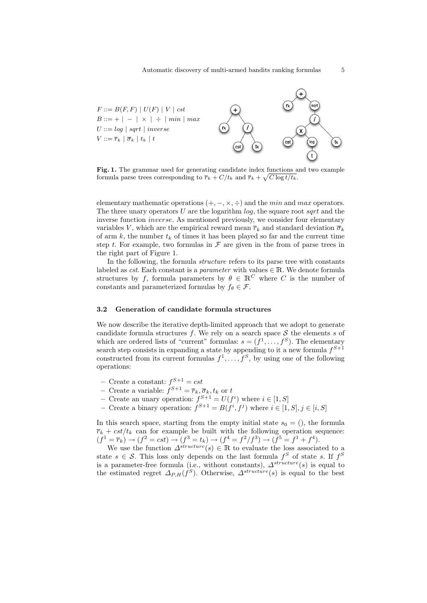

Fig. 1. The grammar used for generating candidate index functions and two example formula parse trees corresponding to  $\bar{r}_k + C/t_k$  and  $\bar{r}_k + \sqrt{C \log t/t_k}$ .

elementary mathematic operations  $(+, -, \times, \div)$  and the min and max operators. The three unary operators U are the logarithm  $log$ , the square root sqrt and the inverse function inverse. As mentioned previously, we consider four elementary variables V, which are the empirical reward mean  $\bar{r}_k$  and standard deviation  $\bar{\sigma}_k$ of arm  $k$ , the number  $t_k$  of times it has been played so far and the current time step t. For example, two formulas in  $\mathcal F$  are given in the from of parse trees in the right part of Figure 1.

In the following, the formula structure refers to its parse tree with constants labeled as *cst*. Each constant is a *parameter* with values  $\in \mathbb{R}$ . We denote formula structures by f, formula parameters by  $\theta \in \mathbb{R}^C$  where C is the number of constants and parameterized formulas by  $f_{\theta} \in \mathcal{F}$ .

## 3.2 Generation of candidate formula structures

We now describe the iterative depth-limited approach that we adopt to generate candidate formula structures f. We rely on a search space  $S$  the elements s of which are ordered lists of "current" formulas:  $s = (f^1, \ldots, f^S)$ . The elementary search step consists in expanding a state by appending to it a new formula  $f^{S+1}$ constructed from its current formulas  $f^1, \ldots, f^S$ , by using one of the following operations:

- $-$  Create a constant:  $f^{S+1} = cst$
- Create a variable:  $f^{S+1} = \overline{r}_k, \overline{\sigma}_k, t_k$  or t
- Create an unary operation:  $f^{S+1} = U(f^i)$  where  $i \in [1, S]$
- Create a binary operation:  $f^{S+1} = B(f^i, f^j)$  where  $i \in [1, S], j \in [i, S]$

In this search space, starting from the empty initial state  $s_0 = ()$ , the formula  $\bar{r}_k + cst/t_k$  can for example be built with the following operation sequence:  $(f<sup>1</sup> = \overline{r}_k) \rightarrow (f<sup>2</sup> = cst) \rightarrow (f<sup>3</sup> = t_k) \rightarrow (f<sup>4</sup> = f<sup>2</sup>/f<sup>3</sup>) \rightarrow (f<sup>5</sup> = f<sup>1</sup> + f<sup>4</sup>).$ 

We use the function  $\Delta^{structure}(s) \in \mathbb{R}$  to evaluate the loss associated to a state  $s \in \mathcal{S}$ . This loss only depends on the last formula  $f^S$  of state s. If  $f^S$ is a parameter-free formula (i.e., without constants),  $\Delta^{structure}(s)$  is equal to the estimated regret  $\Delta_{P,H}(f^S)$ . Otherwise,  $\Delta^{structure}(s)$  is equal to the best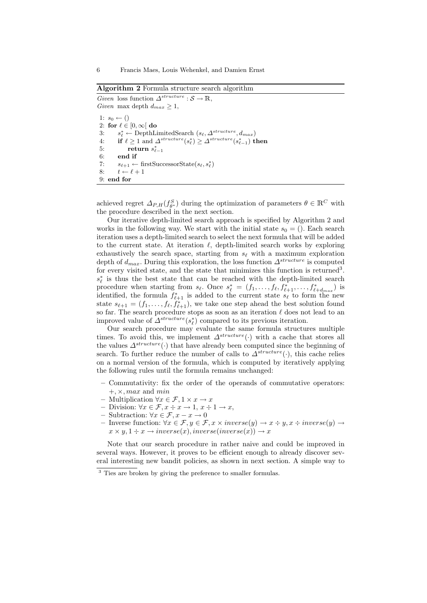Algorithm 2 Formula structure search algorithm

Given loss function  $\Delta^{structure} : \mathcal{S} \to \mathbb{R}$ . Given max depth  $d_{max} \geq 1$ , 1:  $s_0 \leftarrow ()$ 2: for  $\ell \in [0, \infty)$  do  $3:$  $\ell$  ← DepthLimitedSearch  $(s_{\ell}, \Delta^{structure}, d_{max})$ 4: if  $\ell \geq 1$  and  $\Delta^{structure}(s_{\ell}^{*}) \geq \Delta^{structure}(s_{\ell-1}^{*})$  then 5: return  $s_{\ell-1}^*$ 6: end if 7:  $s_{\ell+1} \leftarrow \text{firstSuccessorState}(s_{\ell}, s_{\ell}^*)$ 8:  $t \leftarrow \ell + 1$ 9: end for

achieved regret  $\Delta_{P,H}(f_{\theta^*}^S)$  during the optimization of parameters  $\theta \in \mathbb{R}^C$  with the procedure described in the next section.

Our iterative depth-limited search approach is specified by Algorithm 2 and works in the following way. We start with the initial state  $s_0 = ($ ). Each search iteration uses a depth-limited search to select the next formula that will be added to the current state. At iteration  $\ell$ , depth-limited search works by exploring exhaustively the search space, starting from  $s_\ell$  with a maximum exploration depth of  $d_{max}$ . During this exploration, the loss function  $\Delta^{structure}$  is computed for every visited state, and the state that minimizes this function is returned<sup>3</sup>.  $s^*_{\ell}$  is thus the best state that can be reached with the depth-limited search procedure when starting from  $s_{\ell}$ . Once  $s_{\ell}^* = (f_1, \ldots, f_{\ell}, f_{\ell+1}^*, \ldots, f_{\ell+d_{max}}^*)$  is identified, the formula  $f_{\ell+1}^*$  is added to the current state  $s_\ell$  to form the new state  $s_{\ell+1} = (f_1, \ldots, f_{\ell}, \tilde{f}_{\ell+1}^*)$ , we take one step ahead the best solution found so far. The search procedure stops as soon as an iteration  $\ell$  does not lead to an improved value of  $\Delta^{structure}(s_{\ell}^*)$  compared to its previous iteration.

Our search procedure may evaluate the same formula structures multiple times. To avoid this, we implement  $\Delta^{structure}(.)$  with a cache that stores all the values  $\Delta^{structure}(.)$  that have already been computed since the beginning of search. To further reduce the number of calls to  $\Delta^{structure}(\cdot)$ , this cache relies on a normal version of the formula, which is computed by iteratively applying the following rules until the formula remains unchanged:

- Commutativity: fix the order of the operands of commutative operators:  $+, \times, max$  and min
- Multiplication ∀x ∈ F, 1 × x → x
- Division:  $\forall x \in \mathcal{F}, x \div x \rightarrow 1, x \div 1 \rightarrow x$ ,
- Subtraction:  $\forall x \in \mathcal{F}, x x \to 0$
- Inverse function:  $\forall x \in \mathcal{F}, y \in \mathcal{F}, x \times inverse(y) \rightarrow x \div y, x \div inverse(y) \rightarrow$  $x \times y, 1 \div x \rightarrow inverse(x), inverse(inverse(x)) \rightarrow x$

Note that our search procedure in rather naive and could be improved in several ways. However, it proves to be efficient enough to already discover several interesting new bandit policies, as shown in next section. A simple way to

<sup>&</sup>lt;sup>3</sup> Ties are broken by giving the preference to smaller formulas.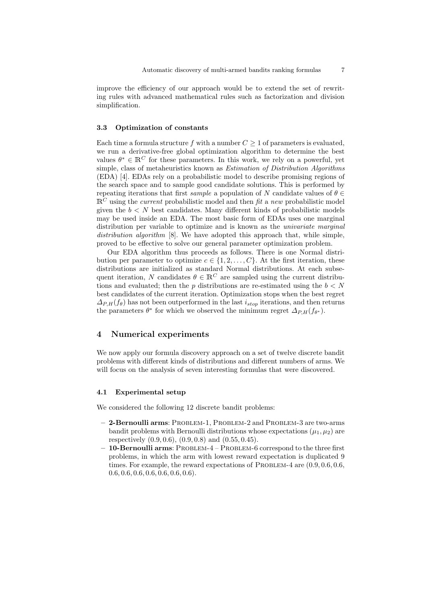improve the efficiency of our approach would be to extend the set of rewriting rules with advanced mathematical rules such as factorization and division simplification.

#### 3.3 Optimization of constants

Each time a formula structure f with a number  $C \geq 1$  of parameters is evaluated, we run a derivative-free global optimization algorithm to determine the best values  $\theta^* \in \mathbb{R}^C$  for these parameters. In this work, we rely on a powerful, yet simple, class of metaheuristics known as *Estimation of Distribution Algorithms* (EDA) [4]. EDAs rely on a probabilistic model to describe promising regions of the search space and to sample good candidate solutions. This is performed by repeating iterations that first *sample* a population of N candidate values of  $\theta \in$  $\mathbb{R}^C$  using the *current* probabilistic model and then fit a new probabilistic model given the  $b < N$  best candidates. Many different kinds of probabilistic models may be used inside an EDA. The most basic form of EDAs uses one marginal distribution per variable to optimize and is known as the univariate marginal distribution algorithm [8]. We have adopted this approach that, while simple, proved to be effective to solve our general parameter optimization problem.

Our EDA algorithm thus proceeds as follows. There is one Normal distribution per parameter to optimize  $c \in \{1, 2, \ldots, C\}$ . At the first iteration, these distributions are initialized as standard Normal distributions. At each subsequent iteration, N candidates  $\theta \in \mathbb{R}^C$  are sampled using the current distributions and evaluated; then the p distributions are re-estimated using the  $b < N$ best candidates of the current iteration. Optimization stops when the best regret  $\Delta_{P,H}(f_{\theta})$  has not been outperformed in the last  $i_{stop}$  iterations, and then returns the parameters  $\theta^*$  for which we observed the minimum regret  $\Delta_{P,H}(f_{\theta^*})$ .

## 4 Numerical experiments

We now apply our formula discovery approach on a set of twelve discrete bandit problems with different kinds of distributions and different numbers of arms. We will focus on the analysis of seven interesting formulas that were discovered.

#### 4.1 Experimental setup

We considered the following 12 discrete bandit problems:

- 2-Bernoulli arms: Problem-1, Problem-2 and Problem-3 are two-arms bandit problems with Bernoulli distributions whose expectations  $(\mu_1, \mu_2)$  are respectively  $(0.9, 0.6), (0.9, 0.8)$  and  $(0.55, 0.45)$ .
- $-10$ -Bernoulli arms: PROBLEM- $4$  PROBLEM-6 correspond to the three first problems, in which the arm with lowest reward expectation is duplicated 9 times. For example, the reward expectations of PROBLEM-4 are  $(0.9, 0.6, 0.6, ...)$ 0.6, 0.6, 0.6, 0.6, 0.6, 0.6, 0.6).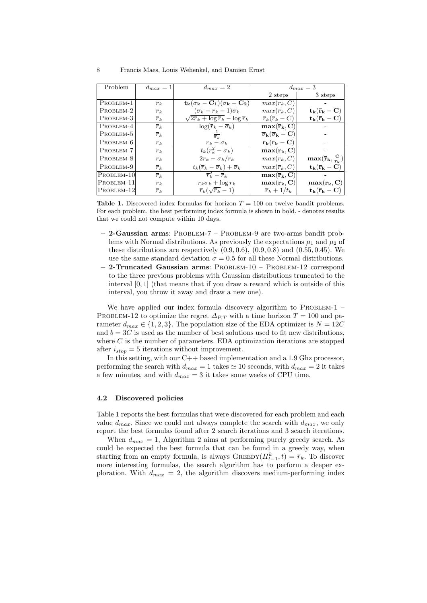| Problem    | $d_{max}=1$      | $d_{max}=2$                                                                                                    |                                                                               | $d_{max}=3$                                                                                                   |
|------------|------------------|----------------------------------------------------------------------------------------------------------------|-------------------------------------------------------------------------------|---------------------------------------------------------------------------------------------------------------|
|            |                  |                                                                                                                | 2 steps                                                                       | 3 steps                                                                                                       |
| PROBLEM-1  | $\overline{r}_k$ | $t_{\mathbf{k}}(\overline{\sigma}_{\mathbf{k}} - \mathbf{C_1})(\overline{\sigma}_{\mathbf{k}} - \mathbf{C_2})$ | $max(\overline{r}_k, C)$                                                      |                                                                                                               |
| PROBLEM-2  | $\overline{r}_k$ | $(\overline{\sigma}_k - \overline{r}_k - 1)\overline{\sigma}_k$                                                | $max(\overline{r}_k, C)$                                                      | $t_{\bf k}(\overline{r}_{\bf k}-{\bf C})$                                                                     |
| PROBLEM-3  | $\overline{r}_k$ | $\sqrt{2\overline{r}_k + \log \overline{r}_k} - \log \overline{r}_k$                                           | $\overline{r}_k(\overline{r}_k-C)$                                            | $t_{\bf k}(\bar{r}_{\bf k}-C)$                                                                                |
| PROBLEM-4  | $\overline{r}_k$ | $\log(\overline{r}_k - \overline{\sigma}_k)$                                                                   | $\max(\overline{\bf r}_{\bf k},{\bf C})$                                      |                                                                                                               |
| PROBLEM-5  | $\overline{r}_k$ | $rac{1}{\overline{\sigma}_k}$                                                                                  | $\overline{\sigma}_{\mathbf{k}}(\overline{\sigma}_{\mathbf{k}} - \mathbf{C})$ |                                                                                                               |
| PROBLEM-6  | $\overline{r}_k$ | $\overline{r}_k - \overline{\sigma}_k$                                                                         | $\bar{\mathbf{r}}_{\mathbf{k}}(\bar{\mathbf{r}}_{\mathbf{k}} - \mathbf{C})$   |                                                                                                               |
| PROBLEM-7  | $\overline{r}_k$ | $t_k(\overline{r}_k^2-\overline{\sigma}_k)$                                                                    | $\max(\overline{\mathbf{r}}_{\mathbf{k}}, \mathbf{C})$                        |                                                                                                               |
| PROBLEM-8  | $\overline{r}_k$ | $2\overline{r}_k - \overline{\sigma}_k/\overline{r}_k$                                                         | $max(\overline{r}_k, C)$                                                      | $\left.\max(\overline{\mathbf{r}}_{\mathbf{k}},\frac{\mathbf{C}}{\overline{\mathbf{r}}_{\mathbf{k}}})\right $ |
| PROBLEM-9  | $\overline{r}_k$ | $t_k(\overline{r}_k-\overline{\sigma}_k)+\overline{\sigma}_k$                                                  | $max(\overline{r}_k, C)$                                                      | $\mathbf{t}_{\mathbf{k}}(\overline{\mathbf{r}}_{\mathbf{k}}-\overline{\mathbf{C}})$                           |
| PROBLEM-10 | $\overline{r}_k$ | $\overline{r}_k^2 - \overline{r}_k$                                                                            | $max(\overline{r}_{k}, C)$                                                    |                                                                                                               |
| PROBLEM-11 | $\overline{r}_k$ | $\overline{r}_k \overline{\sigma}_k + \log \overline{r}_k$                                                     | $\max(\bar{\mathbf{r}}_{\mathbf{k}}, \mathbf{C})$                             | $\max(\bar{\mathbf{r}}_{\mathbf{k}}, \mathbf{C})$                                                             |
| PROBLEM-12 | $\overline{r}_k$ | $\overline{r}_k(\sqrt{\overline{r}_k}-1)$                                                                      | $\overline{r}_k+1/t_k$                                                        | $\mathbf{t}_{\mathbf{k}}(\overline{\mathbf{r}}_{\mathbf{k}} - \mathbf{C})$                                    |

**Table 1.** Discovered index formulas for horizon  $T = 100$  on twelve bandit problems. For each problem, the best performing index formula is shown in bold. - denotes results that we could not compute within 10 days.

- 2-Gaussian arms: Problem-7 Problem-9 are two-arms bandit problems with Normal distributions. As previously the expectations  $\mu_1$  and  $\mu_2$  of these distributions are respectively  $(0.9, 0.6)$ ,  $(0.9, 0.8)$  and  $(0.55, 0.45)$ . We use the same standard deviation  $\sigma = 0.5$  for all these Normal distributions.
- $-$  2-Truncated Gaussian arms: PROBLEM-10 PROBLEM-12 correspond to the three previous problems with Gaussian distributions truncated to the interval [0, 1] (that means that if you draw a reward which is outside of this interval, you throw it away and draw a new one).

We have applied our index formula discovery algorithm to  $P_{ROBLEM-1}$  – PROBLEM-12 to optimize the regret  $\Delta_{P,T}$  with a time horizon  $T = 100$  and parameter  $d_{max} \in \{1, 2, 3\}$ . The population size of the EDA optimizer is  $N = 12C$ and  $b = 3C$  is used as the number of best solutions used to fit new distributions, where  $C$  is the number of parameters. EDA optimization iterations are stopped after  $i_{stop} = 5$  iterations without improvement.

In this setting, with our C++ based implementation and a 1.9 Ghz processor, performing the search with  $d_{max} = 1$  takes  $\simeq 10$  seconds, with  $d_{max} = 2$  it takes a few minutes, and with  $d_{max} = 3$  it takes some weeks of CPU time.

#### 4.2 Discovered policies

Table 1 reports the best formulas that were discovered for each problem and each value  $d_{max}$ . Since we could not always complete the search with  $d_{max}$ , we only report the best formulas found after 2 search iterations and 3 search iterations.

When  $d_{max} = 1$ , Algorithm 2 aims at performing purely greedy search. As could be expected the best formula that can be found in a greedy way, when starting from an empty formula, is always  $\text{GREEDY}(H_{t-1}^k, t) = \overline{r}_k$ . To discover more interesting formulas, the search algorithm has to perform a deeper exploration. With  $d_{max} = 2$ , the algorithm discovers medium-performing index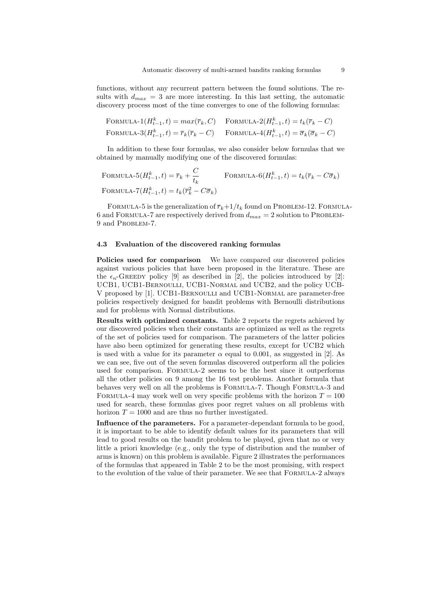functions, without any recurrent pattern between the found solutions. The results with  $d_{max} = 3$  are more interesting. In this last setting, the automatic discovery process most of the time converges to one of the following formulas:

$$
\begin{aligned} &\text{Formula-1}(H_{t-1}^k, t) = max(\overline{r}_k, C) &\text{Formula-2}(H_{t-1}^k, t) = t_k(\overline{r}_k - C) \\ &\text{Formula-3}(H_{t-1}^k, t) = \overline{r}_k(\overline{r}_k - C) &\text{Formula-4}(H_{t-1}^k, t) = \overline{\sigma}_k(\overline{\sigma}_k - C) \end{aligned}
$$

In addition to these four formulas, we also consider below formulas that we obtained by manually modifying one of the discovered formulas:

FORMULA-5 $(H_{t-1}^k, t) = \overline{r}_k + \frac{C}{t}$ FORMULA-6 $(H_{t-1}^k, t) = t_k(\overline{r}_k - C\overline{\sigma}_k)$ FORMULA-7 $(H_{t-1}^k, t) = t_k(\overline{r}_k^2 - C\overline{\sigma}_k)$ 

FORMULA-5 is the generalization of  $\overline{r}_k+1/t_k$  found on PROBLEM-12. FORMULA-6 and FORMULA-7 are respectively derived from  $d_{max} = 2$  solution to PROBLEM-9 and PROBLEM-7.

#### 4.3 Evaluation of the discovered ranking formulas

Policies used for comparison We have compared our discovered policies against various policies that have been proposed in the literature. These are the  $\epsilon_n$ -GREEDY policy [9] as described in [2], the policies introduced by [2]: UCB1, UCB1-Bernoulli, UCB1-Normal and UCB2, and the policy UCB-V proposed by [1]. UCB1-Bernoulli and UCB1-Normal are parameter-free policies respectively designed for bandit problems with Bernoulli distributions and for problems with Normal distributions.

Results with optimized constants. Table 2 reports the regrets achieved by our discovered policies when their constants are optimized as well as the regrets of the set of policies used for comparison. The parameters of the latter policies have also been optimized for generating these results, except for UCB2 which is used with a value for its parameter  $\alpha$  equal to 0.001, as suggested in [2]. As we can see, five out of the seven formulas discovered outperform all the policies used for comparison. Formula-2 seems to be the best since it outperforms all the other policies on 9 among the 16 test problems. Another formula that behaves very well on all the problems is FORMULA-7. Though FORMULA-3 and FORMULA-4 may work well on very specific problems with the horizon  $T = 100$ used for search, these formulas gives poor regret values on all problems with horizon  $T = 1000$  and are thus no further investigated.

Influence of the parameters. For a parameter-dependant formula to be good, it is important to be able to identify default values for its parameters that will lead to good results on the bandit problem to be played, given that no or very little a priori knowledge (e.g., only the type of distribution and the number of arms is known) on this problem is available. Figure 2 illustrates the performances of the formulas that appeared in Table 2 to be the most promising, with respect to the evolution of the value of their parameter. We see that FORMULA-2 always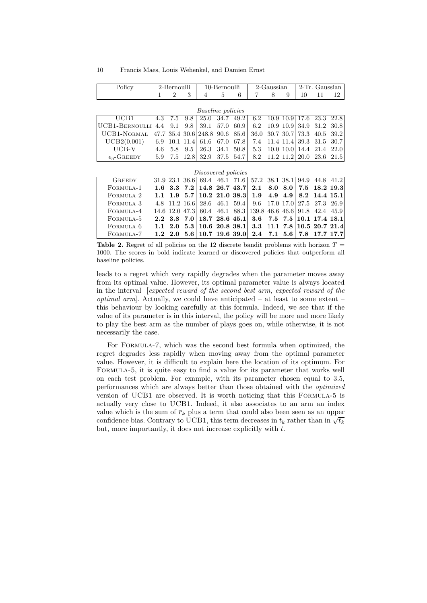10 Francis Maes, Louis Wehenkel, and Damien Ernst

| Policy                   | 2-Bernoulli |         |           | 10-Bernoulli                   |      |           | 2-Gaussian |   |   | 2-Tr. Gaussian |                               |    |
|--------------------------|-------------|---------|-----------|--------------------------------|------|-----------|------------|---|---|----------------|-------------------------------|----|
|                          |             |         | 3         | 4                              | 5    | 6         |            | 8 | 9 | 10             |                               | 12 |
|                          |             |         |           |                                |      |           |            |   |   |                |                               |    |
| <i>Baseline policies</i> |             |         |           |                                |      |           |            |   |   |                |                               |    |
| UCB1                     | 4.3         | 7.5     | 9.8       | $25.0$ 34.7 49.2               |      |           | 6.2        |   |   |                | 10.9 10.9 17.6 23.3 22.8      |    |
| UCB1-BERNOULLI           |             | 4.4 9.1 | $9.8+$    | $39.1$ 57.0 60.9               |      |           |            |   |   |                | 6.2 10.9 10.9 34.9 31.2 30.8  |    |
| UCB1-NORMAL              |             |         |           | 47.7 35.4 30.6 248.8 90.6 85.6 |      |           |            |   |   |                | 36.0 30.7 30.7 73.3 40.5 39.2 |    |
| UCB2(0.001)              | 6.9         |         | 10.1 11.4 | 61.6                           |      | 67.0 67.8 | 7.4        |   |   |                | 11.4 11.4 39.3 31.5 30.7      |    |
| UCB-V                    | 4.6         | 5.8     | 9.5       | 26.3                           | 34.1 | 50.8      | 5.3        |   |   |                | 10.0 10.0 14.4 21.4 22.0      |    |
| $\epsilon_n$ -GREEDY     | 5.9         |         | 7.5 12.8  | 32.9                           |      | 37.5 54.7 | 8.2        |   |   |                | $11.2$ 11.2 20.0 23.6 21.5    |    |

#### Discovered policies

| <b>GREEDY</b> |  |  |  | $\vert 31.9 \vert 23.1 \vert 36.6 \vert 69.4 \vert 46.1 \vert 71.6 \vert 57.2 \vert 38.1 \vert 38.1 \vert 94.9 \vert 44.8 \vert 41.2 \vert$ |  |  |  |
|---------------|--|--|--|---------------------------------------------------------------------------------------------------------------------------------------------|--|--|--|
| FORMULA-1     |  |  |  | $\vert$ 1.6 3.3 7.2 14.8 26.7 43.7 2.1 8.0 8.0 7.5 18.2 19.3                                                                                |  |  |  |
| FORMULA-2     |  |  |  |                                                                                                                                             |  |  |  |
| FORMULA-3     |  |  |  | 4.8 11.2 16.6 28.6 46.1 59.4   9.6 17.0 17.0 27.5 27.3 26.9                                                                                 |  |  |  |
| FORMULA-4     |  |  |  | $14.6$ 12.0 47.3 60.4 46.1 88.3 139.8 46.6 46.6 91.8 42.4 45.9                                                                              |  |  |  |
| FORMULA-5     |  |  |  | 2.2 3.8 7.0   18.7 28.6 45.1   3.6 7.5 7.5   10.1 17.4 18.1                                                                                 |  |  |  |
| FORMULA-6     |  |  |  | 1.1   2.0   5.3   10.6   20.8   38.1   3.3   11.1   7.8   10.5   20.7   21.4                                                                |  |  |  |
| FORMULA-7     |  |  |  | $\vert$ 1.2 2.0 5.6 10.7 19.6 39.0 2.4 7.1 5.6 7.8 17.7 17.7                                                                                |  |  |  |
|               |  |  |  |                                                                                                                                             |  |  |  |

**Table 2.** Regret of all policies on the 12 discrete bandit problems with horizon  $T =$ 1000. The scores in bold indicate learned or discovered policies that outperform all baseline policies.

leads to a regret which very rapidly degrades when the parameter moves away from its optimal value. However, its optimal parameter value is always located in the interval [expected reward of the second best arm, expected reward of the *optimal arm*. Actually, we could have anticipated – at least to some extent – this behaviour by looking carefully at this formula. Indeed, we see that if the value of its parameter is in this interval, the policy will be more and more likely to play the best arm as the number of plays goes on, while otherwise, it is not necessarily the case.

For Formula-7, which was the second best formula when optimized, the regret degrades less rapidly when moving away from the optimal parameter value. However, it is difficult to explain here the location of its optimum. For FORMULA-5, it is quite easy to find a value for its parameter that works well on each test problem. For example, with its parameter chosen equal to 3.5, performances which are always better than those obtained with the optimized version of UCB1 are observed. It is worth noticing that this Formula-5 is actually very close to UCB1. Indeed, it also associates to an arm an index value which is the sum of  $\bar{r}_k$  plus a term that could also been seen as an upper value which is the sum of  $r_k$  plus a term that could also been seen as an upper<br>confidence bias. Contrary to UCB1, this term decreases in  $t_k$  rather than in  $\sqrt{t_k}$ but, more importantly, it does not increase explicitly with  $t$ .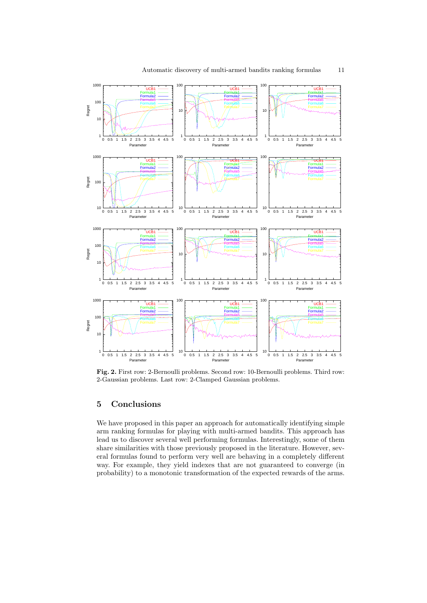

Fig. 2. First row: 2-Bernoulli problems. Second row: 10-Bernoulli problems. Third row: 2-Gaussian problems. Last row: 2-Clamped Gaussian problems.

# 5 Conclusions

We have proposed in this paper an approach for automatically identifying simple arm ranking formulas for playing with multi-armed bandits. This approach has lead us to discover several well performing formulas. Interestingly, some of them share similarities with those previously proposed in the literature. However, several formulas found to perform very well are behaving in a completely different way. For example, they yield indexes that are not guaranteed to converge (in probability) to a monotonic transformation of the expected rewards of the arms.